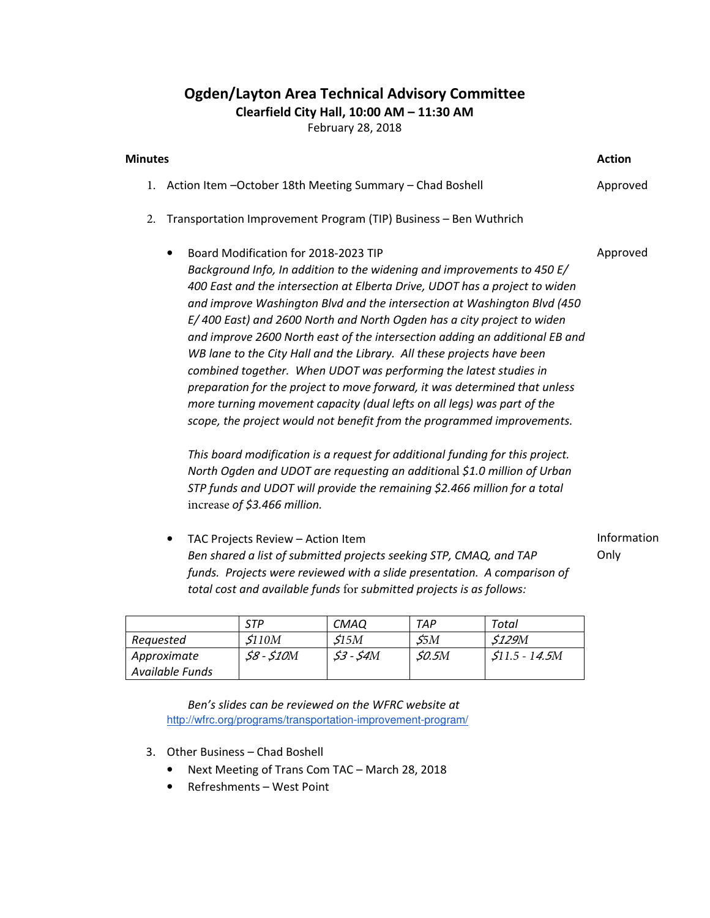## Ogden/Layton Area Technical Advisory Committee

Clearfield City Hall, 10:00 AM – 11:30 AM

February 28, 2018

| <b>Minutes</b> |                                                                                                                                                                                                                                                                                                                                                                                                                                                                                                                                                                                                                                                                                                                                                                                                                                                                                                                                                                                                                                                                                                      | <b>Action</b>       |  |
|----------------|------------------------------------------------------------------------------------------------------------------------------------------------------------------------------------------------------------------------------------------------------------------------------------------------------------------------------------------------------------------------------------------------------------------------------------------------------------------------------------------------------------------------------------------------------------------------------------------------------------------------------------------------------------------------------------------------------------------------------------------------------------------------------------------------------------------------------------------------------------------------------------------------------------------------------------------------------------------------------------------------------------------------------------------------------------------------------------------------------|---------------------|--|
|                | 1. Action Item - October 18th Meeting Summary - Chad Boshell                                                                                                                                                                                                                                                                                                                                                                                                                                                                                                                                                                                                                                                                                                                                                                                                                                                                                                                                                                                                                                         |                     |  |
| 2.             | Transportation Improvement Program (TIP) Business - Ben Wuthrich                                                                                                                                                                                                                                                                                                                                                                                                                                                                                                                                                                                                                                                                                                                                                                                                                                                                                                                                                                                                                                     |                     |  |
|                | Board Modification for 2018-2023 TIP<br>٠<br>Background Info, In addition to the widening and improvements to 450 E/<br>400 East and the intersection at Elberta Drive, UDOT has a project to widen<br>and improve Washington Blvd and the intersection at Washington Blvd (450<br>E/400 East) and 2600 North and North Ogden has a city project to widen<br>and improve 2600 North east of the intersection adding an additional EB and<br>WB lane to the City Hall and the Library. All these projects have been<br>combined together. When UDOT was performing the latest studies in<br>preparation for the project to move forward, it was determined that unless<br>more turning movement capacity (dual lefts on all legs) was part of the<br>scope, the project would not benefit from the programmed improvements.<br>This board modification is a request for additional funding for this project.<br>North Ogden and UDOT are requesting an additional \$1.0 million of Urban<br>STP funds and UDOT will provide the remaining \$2.466 million for a total<br>increase of \$3.466 million. | Approved            |  |
|                | TAC Projects Review - Action Item<br>$\bullet$<br>Ben shared a list of submitted projects seeking STP, CMAQ, and TAP<br>funds. Projects were reviewed with a slide presentation. A comparison of<br>total cost and available funds for submitted projects is as follows:                                                                                                                                                                                                                                                                                                                                                                                                                                                                                                                                                                                                                                                                                                                                                                                                                             | Information<br>Only |  |

|                 | STP          | <b>CMAQ</b> | TAP          | Total                |
|-----------------|--------------|-------------|--------------|----------------------|
| Reauested       | \$110M       | <i>S15M</i> | 55M          | <i>\$129M</i>        |
| Approximate     | $$8 - $10M$$ | $53 - 54M$  | <i>SO.5M</i> | <i>S11.5 - 14.5M</i> |
| Available Funds |              |             |              |                      |

Ben's slides can be reviewed on the WFRC website at http://wfrc.org/programs/transportation-improvement-program/

- 3. Other Business Chad Boshell
	- Next Meeting of Trans Com TAC March 28, 2018
	- Refreshments West Point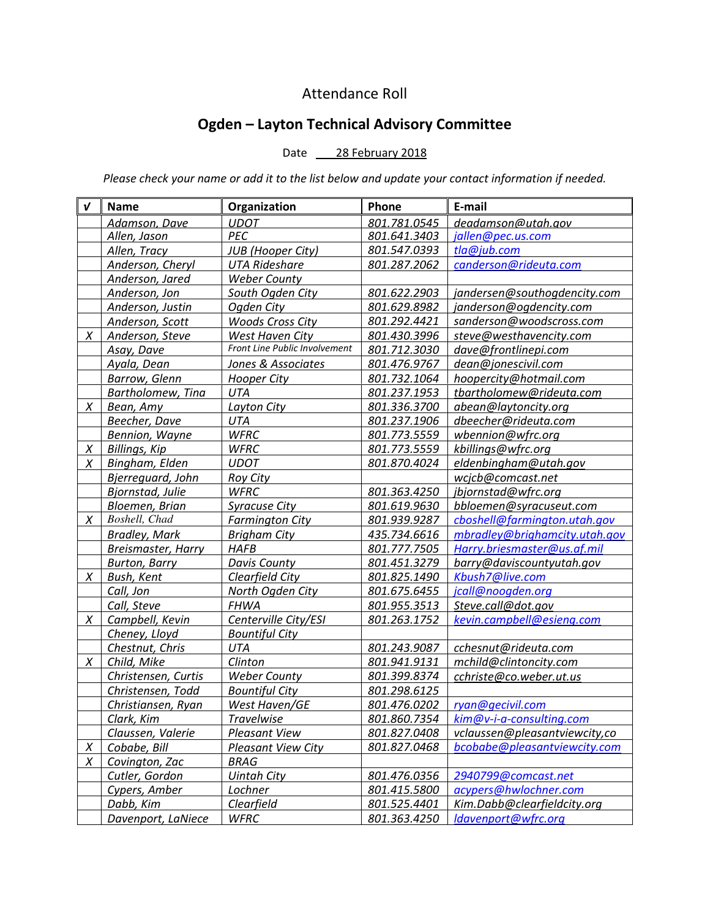## Attendance Roll

## Ogden – Layton Technical Advisory Committee

## Date 28 February 2018

Please check your name or add it to the list below and update your contact information if needed.

| $\boldsymbol{\mathsf{v}}$ | <b>Name</b>          | Organization                  | Phone        | E-mail                        |
|---------------------------|----------------------|-------------------------------|--------------|-------------------------------|
|                           | Adamson, Dave        | <b>UDOT</b>                   | 801.781.0545 | deadamson@utah.gov            |
|                           | Allen, Jason         | PEC                           | 801.641.3403 | jallen@pec.us.com             |
|                           | Allen, Tracy         | JUB (Hooper City)             | 801.547.0393 | tla@jub.com                   |
|                           | Anderson, Cheryl     | <b>UTA Rideshare</b>          | 801.287.2062 | canderson@rideuta.com         |
|                           | Anderson, Jared      | <b>Weber County</b>           |              |                               |
|                           | Anderson, Jon        | South Ogden City              | 801.622.2903 | jandersen@southogdencity.com  |
|                           | Anderson, Justin     | Ogden City                    | 801.629.8982 | janderson@ogdencity.com       |
|                           | Anderson, Scott      | <b>Woods Cross City</b>       | 801.292.4421 | sanderson@woodscross.com      |
| X                         | Anderson, Steve      | <b>West Haven City</b>        | 801.430.3996 | steve@westhavencity.com       |
|                           | Asay, Dave           | Front Line Public Involvement | 801.712.3030 | dave@frontlinepi.com          |
|                           | Ayala, Dean          | Jones & Associates            | 801.476.9767 | dean@jonescivil.com           |
|                           | <b>Barrow, Glenn</b> | <b>Hooper City</b>            | 801.732.1064 | hoopercity@hotmail.com        |
|                           | Bartholomew, Tina    | UTA                           | 801.237.1953 | tbartholomew@rideuta.com      |
| X                         | Bean, Amy            | Layton City                   | 801.336.3700 | abean@laytoncity.org          |
|                           | Beecher, Dave        | UTA                           | 801.237.1906 | dbeecher@rideuta.com          |
|                           | Bennion, Wayne       | <b>WFRC</b>                   | 801.773.5559 | wbennion@wfrc.org             |
| X                         | Billings, Kip        | <b>WFRC</b>                   | 801.773.5559 | kbillings@wfrc.org            |
| X                         | Bingham, Elden       | <b>UDOT</b>                   | 801.870.4024 | eldenbingham@utah.gov         |
|                           | Bjerreguard, John    | Roy City                      |              | wcjcb@comcast.net             |
|                           | Bjornstad, Julie     | <b>WFRC</b>                   | 801.363.4250 | jbjornstad@wfrc.org           |
|                           | Bloemen, Brian       | <b>Syracuse City</b>          | 801.619.9630 | bbloemen@syracuseut.com       |
| X                         | Boshell, Chad        | <b>Farmington City</b>        | 801.939.9287 | cboshell@farmington.utah.gov  |
|                           | <b>Bradley, Mark</b> | <b>Brigham City</b>           | 435.734.6616 | mbradley@brighamcity.utah.gov |
|                           | Breismaster, Harry   | <b>HAFB</b>                   | 801.777.7505 | Harry.briesmaster@us.af.mil   |
|                           | <b>Burton, Barry</b> | Davis County                  | 801.451.3279 | barry@daviscountyutah.gov     |
| X                         | Bush, Kent           | Clearfield City               | 801.825.1490 | Kbush7@live.com               |
|                           | Call, Jon            | North Ogden City              | 801.675.6455 | jcall@noogden.org             |
|                           | Call, Steve          | <b>FHWA</b>                   | 801.955.3513 | Steve.call@dot.gov            |
| X                         | Campbell, Kevin      | Centerville City/ESI          | 801.263.1752 | kevin.campbell@esieng.com     |
|                           | Cheney, Lloyd        | <b>Bountiful City</b>         |              |                               |
|                           | Chestnut, Chris      | <b>UTA</b>                    | 801.243.9087 | cchesnut@rideuta.com          |
| X                         | Child, Mike          | Clinton                       | 801.941.9131 | mchild@clintoncity.com        |
|                           | Christensen, Curtis  | <b>Weber County</b>           | 801.399.8374 | cchriste@co.weber.ut.us       |
|                           | Christensen, Todd    | <b>Bountiful City</b>         | 801.298.6125 |                               |
|                           | Christiansen, Ryan   | West Haven/GE                 | 801.476.0202 | ryan@gecivil.com              |
|                           | Clark, Kim           | <b>Travelwise</b>             | 801.860.7354 | kim@v-i-a-consulting.com      |
|                           | Claussen, Valerie    | <b>Pleasant View</b>          | 801.827.0408 | vclaussen@pleasantviewcity,co |
| $\chi$                    | Cobabe, Bill         | Pleasant View City            | 801.827.0468 | bcobabe@pleasantviewcity.com  |
| X                         | Covington, Zac       | <b>BRAG</b>                   |              |                               |
|                           | Cutler, Gordon       | <b>Uintah City</b>            | 801.476.0356 | 2940799@comcast.net           |
|                           | Cypers, Amber        | Lochner                       | 801.415.5800 | acypers@hwlochner.com         |
|                           | Dabb, Kim            | Clearfield                    | 801.525.4401 | Kim.Dabb@clearfieldcity.org   |
|                           | Davenport, LaNiece   | <b>WFRC</b>                   | 801.363.4250 | ldavenport@wfrc.org           |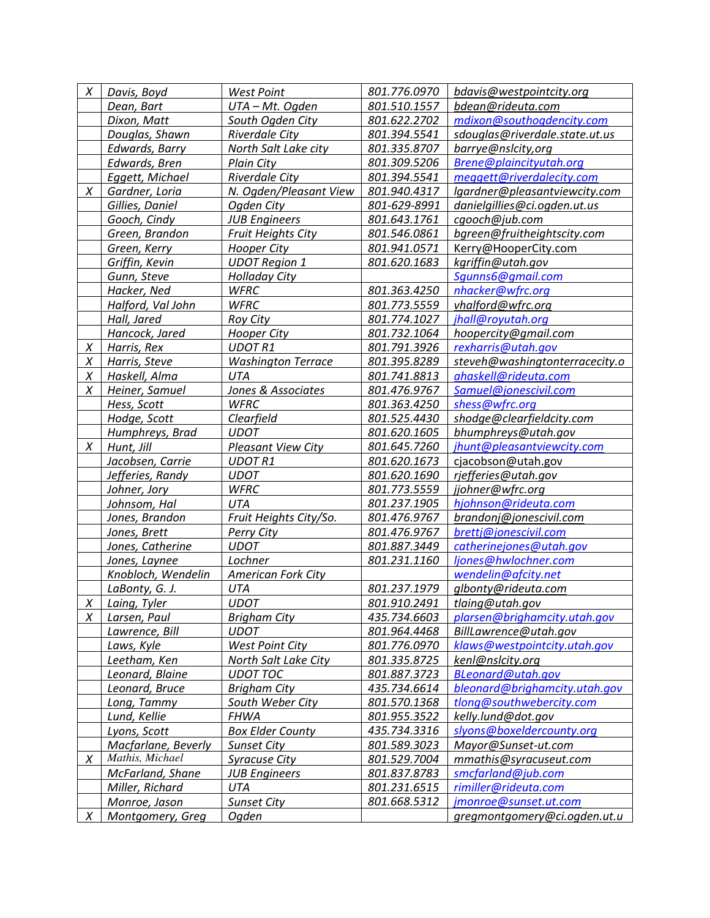| X      | Davis, Boyd         | <b>West Point</b>         | 801.776.0970 | bdavis@westpointcity.org       |
|--------|---------------------|---------------------------|--------------|--------------------------------|
|        | Dean, Bart          | UTA-Mt. Ogden             | 801.510.1557 | bdean@rideuta.com              |
|        | Dixon, Matt         | South Ogden City          | 801.622.2702 | mdixon@southogdencity.com      |
|        | Douglas, Shawn      | <b>Riverdale City</b>     | 801.394.5541 | sdouglas@riverdale.state.ut.us |
|        | Edwards, Barry      | North Salt Lake city      | 801.335.8707 | barrye@nslcity,org             |
|        | Edwards, Bren       | Plain City                | 801.309.5206 | Brene@plaincityutah.org        |
|        | Eggett, Michael     | Riverdale City            | 801.394.5541 | meggett@riverdalecity.com      |
| X      | Gardner, Loria      | N. Ogden/Pleasant View    | 801.940.4317 | lgardner@pleasantviewcity.com  |
|        | Gillies, Daniel     | Ogden City                | 801-629-8991 | danielgillies@ci.ogden.ut.us   |
|        | Gooch, Cindy        | <b>JUB Engineers</b>      | 801.643.1761 | cgooch@jub.com                 |
|        | Green, Brandon      | <b>Fruit Heights City</b> | 801.546.0861 | bgreen@fruitheightscity.com    |
|        | Green, Kerry        | <b>Hooper City</b>        | 801.941.0571 | Kerry@HooperCity.com           |
|        | Griffin, Kevin      | <b>UDOT Region 1</b>      | 801.620.1683 | kgriffin@utah.gov              |
|        | Gunn, Steve         | <b>Holladay City</b>      |              | Squnns6@gmail.com              |
|        | Hacker, Ned         | <b>WFRC</b>               | 801.363.4250 | nhacker@wfrc.org               |
|        | Halford, Val John   | <b>WFRC</b>               | 801.773.5559 | vhalford@wfrc.org              |
|        | Hall, Jared         | <b>Roy City</b>           | 801.774.1027 | jhall@royutah.org              |
|        | Hancock, Jared      | Hooper City               | 801.732.1064 | hoopercity@gmail.com           |
| X      | Harris, Rex         | <b>UDOT R1</b>            | 801.791.3926 | rexharris@utah.gov             |
| Χ      | Harris, Steve       | <b>Washington Terrace</b> | 801.395.8289 | steveh@washingtonterracecity.o |
| Χ      | Haskell, Alma       | UTA                       | 801.741.8813 | ahaskell@rideuta.com           |
| X      | Heiner, Samuel      | Jones & Associates        | 801.476.9767 | Samuel@jonescivil.com          |
|        | Hess, Scott         | <b>WFRC</b>               | 801.363.4250 | shess@wfrc.org                 |
|        | Hodge, Scott        | Clearfield                | 801.525.4430 | shodge@clearfieldcity.com      |
|        | Humphreys, Brad     | <b>UDOT</b>               | 801.620.1605 | bhumphreys@utah.gov            |
| X      | Hunt, Jill          | <b>Pleasant View City</b> | 801.645.7260 | jhunt@pleasantviewcity.com     |
|        | Jacobsen, Carrie    | <b>UDOT R1</b>            | 801.620.1673 | cjacobson@utah.gov             |
|        | Jefferies, Randy    | <b>UDOT</b>               | 801.620.1690 | rjefferies@utah.gov            |
|        | Johner, Jory        | <b>WFRC</b>               | 801.773.5559 | jjohner@wfrc.org               |
|        | Johnsom, Hal        | <b>UTA</b>                | 801.237.1905 | hjohnson@rideuta.com           |
|        | Jones, Brandon      | Fruit Heights City/So.    | 801.476.9767 | brandonj@jonescivil.com        |
|        | Jones, Brett        | Perry City                | 801.476.9767 | brettj@jonescivil.com          |
|        | Jones, Catherine    | <b>UDOT</b>               | 801.887.3449 | catherinejones@utah.gov        |
|        | Jones, Laynee       | Lochner                   | 801.231.1160 | ljones@hwlochner.com           |
|        | Knobloch, Wendelin  | <b>American Fork City</b> |              | wendelin@afcity.net            |
|        | LaBonty, G. J.      | UTA                       | 801.237.1979 | glbonty@rideuta.com            |
| $\chi$ | Laing, Tyler        | <b>UDOT</b>               | 801.910.2491 | tlaing@utah.gov                |
| X      | Larsen, Paul        | <b>Brigham City</b>       | 435.734.6603 | plarsen@brighamcity.utah.gov   |
|        | Lawrence, Bill      | UDOT                      | 801.964.4468 | BillLawrence@utah.gov          |
|        | Laws, Kyle          | <b>West Point City</b>    | 801.776.0970 | klaws@westpointcity.utah.gov   |
|        | Leetham, Ken        | North Salt Lake City      | 801.335.8725 | kenl@nslcity.org               |
|        | Leonard, Blaine     | <b>UDOT TOC</b>           | 801.887.3723 | BLeonard@utah.gov              |
|        | Leonard, Bruce      | <b>Brigham City</b>       | 435.734.6614 | bleonard@brighamcity.utah.gov  |
|        | Long, Tammy         | South Weber City          | 801.570.1368 | tlong@southwebercity.com       |
|        | Lund, Kellie        | <b>FHWA</b>               | 801.955.3522 | kelly.lund@dot.gov             |
|        | Lyons, Scott        | <b>Box Elder County</b>   | 435.734.3316 | slyons@boxeldercounty.org      |
|        | Macfarlane, Beverly | <b>Sunset City</b>        | 801.589.3023 | Mayor@Sunset-ut.com            |
| X      | Mathis, Michael     | <b>Syracuse City</b>      | 801.529.7004 | mmathis@syracuseut.com         |
|        | McFarland, Shane    | <b>JUB Engineers</b>      | 801.837.8783 | smcfarland@jub.com             |
|        | Miller, Richard     | UTA                       | 801.231.6515 | rimiller@rideuta.com           |
|        | Monroe, Jason       | <b>Sunset City</b>        | 801.668.5312 | jmonroe@sunset.ut.com          |
| Χ      | Montgomery, Greg    | Ogden                     |              | gregmontgomery@ci.ogden.ut.u   |